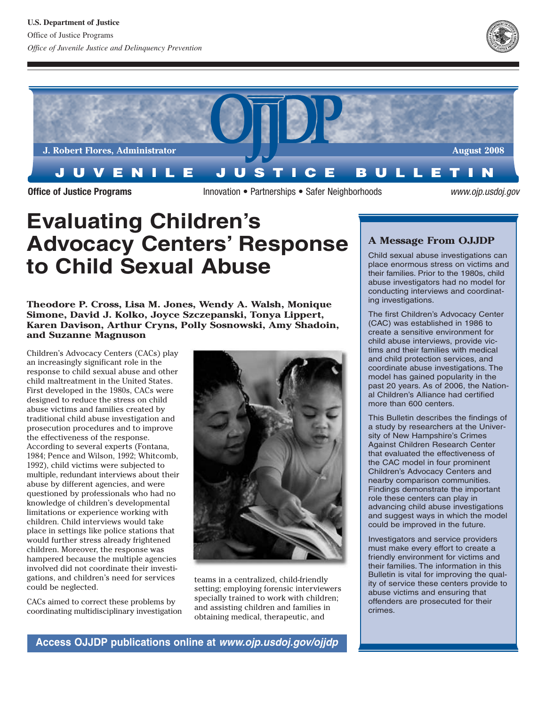



**Office of Justice Programs Innovation • Partnerships • Safer Neighborhoods** *www.ojp.usdoj.gov* 

# **Evaluating Children's Advocacy Centers' Response to Child Sexual Abuse**

**Theodore P. Cross, Lisa M. Jones, Wendy A. Walsh, Monique Simone, David J. Kolko, Joyce Szczepanski, Tonya Lippert, Karen Davison, Arthur Cryns, Polly Sosnowski, Amy Shadoin, and Suzanne Magnuson** 

Children's Advocacy Centers (CACs) play an increasingly significant role in the response to child sexual abuse and other child maltreatment in the United States. First developed in the 1980s, CACs were designed to reduce the stress on child abuse victims and families created by traditional child abuse investigation and prosecution procedures and to improve the effectiveness of the response. According to several experts (Fontana, 1984; Pence and Wilson, 1992; Whitcomb, 1992), child victims were subjected to multiple, redundant interviews about their abuse by different agencies, and were questioned by professionals who had no knowledge of children's developmental limitations or experience working with children. Child interviews would take place in settings like police stations that would further stress already frightened children. Moreover, the response was hampered because the multiple agencies involved did not coordinate their investigations, and children's need for services could be neglected.

CACs aimed to correct these problems by coordinating multidisciplinary investigation



teams in a centralized, child-friendly setting; employing forensic interviewers specially trained to work with children; and assisting children and families in obtaining medical, therapeutic, and

## **A Message From OJJDP**

Child sexual abuse investigations can place enormous stress on victims and their families. Prior to the 1980s, child abuse investigators had no model for conducting interviews and coordinating investigations.

The first Children's Advocacy Center (CAC) was established in 1986 to create a sensitive environment for child abuse interviews, provide victims and their families with medical and child protection services, and coordinate abuse investigations. The model has gained popularity in the past 20 years. As of 2006, the National Children's Alliance had certified more than 600 centers.

This Bulletin describes the findings of a study by researchers at the University of New Hampshire's Crimes Against Children Research Center that evaluated the effectiveness of the CAC model in four prominent Children's Advocacy Centers and nearby comparison communities. Findings demonstrate the important role these centers can play in advancing child abuse investigations and suggest ways in which the model could be improved in the future.

Investigators and service providers must make every effort to create a friendly environment for victims and their families. The information in this Bulletin is vital for improving the quality of service these centers provide to abuse victims and ensuring that offenders are prosecuted for their crimes.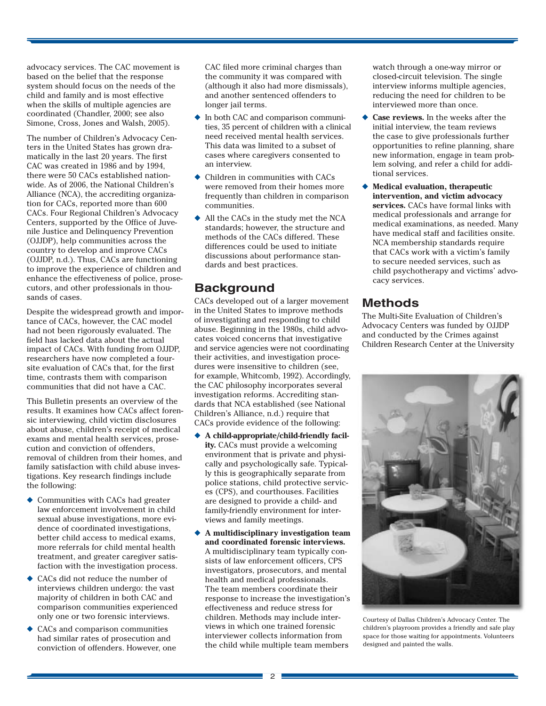advocacy services. The CAC movement is based on the belief that the response system should focus on the needs of the child and family and is most effective when the skills of multiple agencies are coordinated (Chandler, 2000; see also Simone, Cross, Jones and Walsh, 2005).

The number of Children's Advocacy Centers in the United States has grown dramatically in the last 20 years. The first CAC was created in 1986 and by 1994, there were 50 CACs established nationwide. As of 2006, the National Children's Alliance (NCA), the accrediting organization for CACs, reported more than 600 CACs. Four Regional Children's Advocacy Centers, supported by the Office of Juvenile Justice and Delinquency Prevention (OJJDP), help communities across the country to develop and improve CACs (OJJDP, n.d.). Thus, CACs are functioning to improve the experience of children and enhance the effectiveness of police, prosecutors, and other professionals in thousands of cases.

Despite the widespread growth and importance of CACs, however, the CAC model had not been rigorously evaluated. The field has lacked data about the actual impact of CACs. With funding from OJJDP, researchers have now completed a foursite evaluation of CACs that, for the first time, contrasts them with comparison communities that did not have a CAC.

This Bulletin presents an overview of the results. It examines how CACs affect forensic interviewing, child victim disclosures about abuse, children's receipt of medical exams and mental health services, prosecution and conviction of offenders, removal of children from their homes, and family satisfaction with child abuse investigations. Key research findings include the following:

- ◆ Communities with CACs had greater law enforcement involvement in child sexual abuse investigations, more evidence of coordinated investigations, better child access to medical exams, more referrals for child mental health treatment, and greater caregiver satisfaction with the investigation process.
- ◆ CACs did not reduce the number of interviews children undergo: the vast majority of children in both CAC and comparison communities experienced only one or two forensic interviews.
- ◆ CACs and comparison communities had similar rates of prosecution and conviction of offenders. However, one

CAC filed more criminal charges than the community it was compared with (although it also had more dismissals), and another sentenced offenders to longer jail terms.

- ◆ In both CAC and comparison communities, 35 percent of children with a clinical need received mental health services. This data was limited to a subset of cases where caregivers consented to an interview.
- Children in communities with CACs were removed from their homes more frequently than children in comparison communities.
- ◆ All the CACs in the study met the NCA standards; however, the structure and methods of the CACs differed. These differences could be used to initiate discussions about performance standards and best practices.

## **Background**

CACs developed out of a larger movement in the United States to improve methods of investigating and responding to child abuse. Beginning in the 1980s, child advocates voiced concerns that investigative and service agencies were not coordinating their activities, and investigation procedures were insensitive to children (see, for example, Whitcomb, 1992). Accordingly, the CAC philosophy incorporates several investigation reforms. Accrediting standards that NCA established (see National Children's Alliance, n.d.) require that CACs provide evidence of the following:

- ◆ A child-appropriate/child-friendly facility. CACs must provide a welcoming environment that is private and physically and psychologically safe. Typically this is geographically separate from police stations, child protective services (CPS), and courthouses. Facilities are designed to provide a child- and family-friendly environment for interviews and family meetings.
- ◆ A multidisciplinary investigation team **and coordinated forensic interviews.**  A multidisciplinary team typically consists of law enforcement officers, CPS investigators, prosecutors, and mental health and medical professionals. The team members coordinate their response to increase the investigation's effectiveness and reduce stress for children. Methods may include interviews in which one trained forensic interviewer collects information from the child while multiple team members

watch through a one-way mirror or closed-circuit television. The single interview informs multiple agencies, reducing the need for children to be interviewed more than once.

- ◆ **Case reviews.** In the weeks after the initial interview, the team reviews the case to give professionals further opportunities to refine planning, share new information, engage in team problem solving, and refer a child for additional services.
- ◆ **Medical evaluation, therapeutic intervention, and victim advocacy services.** CACs have formal links with medical professionals and arrange for medical examinations, as needed. Many have medical staff and facilities onsite. NCA membership standards require that CACs work with a victim's family to secure needed services, such as child psychotherapy and victims' advocacy services.

# **Methods**

The Multi-Site Evaluation of Children's Advocacy Centers was funded by OJJDP and conducted by the Crimes against Children Research Center at the University



Courtesy of Dallas Children's Advocacy Center. The children's playroom provides a friendly and safe play space for those waiting for appointments. Volunteers designed and painted the walls.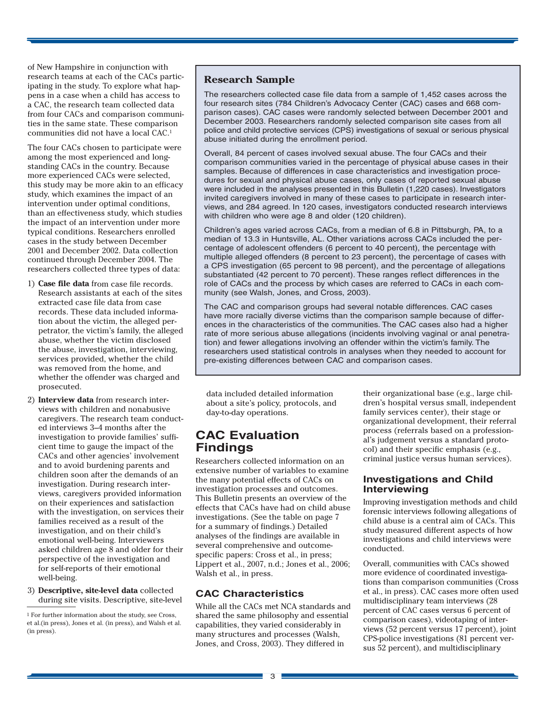of New Hampshire in conjunction with research teams at each of the CACs participating in the study. To explore what happens in a case when a child has access to a CAC, the research team collected data from four CACs and comparison communities in the same state. These comparison communities did not have a local CAC.1

The four CACs chosen to participate were among the most experienced and longstanding CACs in the country. Because more experienced CACs were selected, this study may be more akin to an efficacy study, which examines the impact of an intervention under optimal conditions, than an effectiveness study, which studies the impact of an intervention under more typical conditions. Researchers enrolled cases in the study between December 2001 and December 2002. Data collection continued through December 2004. The researchers collected three types of data:

- 1) **Case file data** from case file records. Research assistants at each of the sites extracted case file data from case records. These data included information about the victim, the alleged perpetrator, the victim's family, the alleged abuse, whether the victim disclosed the abuse, investigation, interviewing, services provided, whether the child was removed from the home, and whether the offender was charged and prosecuted.
- 2) **Interview data** from research interviews with children and nonabusive caregivers. The research team conducted interviews 3–4 months after the investigation to provide families' sufficient time to gauge the impact of the CACs and other agencies' involvement and to avoid burdening parents and children soon after the demands of an investigation. During research interviews, caregivers provided information on their experiences and satisfaction with the investigation, on services their families received as a result of the investigation, and on their child's emotional well-being. Interviewers asked children age 8 and older for their perspective of the investigation and for self-reports of their emotional well-being.
- 3) **Descriptive, site-level data** collected during site visits. Descriptive, site-level

#### **Research Sample**

The researchers collected case file data from a sample of 1,452 cases across the four research sites (784 Children's Advocacy Center (CAC) cases and 668 comparison cases). CAC cases were randomly selected between December 2001 and December 2003. Researchers randomly selected comparison site cases from all police and child protective services (CPS) investigations of sexual or serious physical abuse initiated during the enrollment period.

Overall, 84 percent of cases involved sexual abuse. The four CACs and their comparison communities varied in the percentage of physical abuse cases in their samples. Because of differences in case characteristics and investigation procedures for sexual and physical abuse cases, only cases of reported sexual abuse were included in the analyses presented in this Bulletin (1,220 cases). Investigators invited caregivers involved in many of these cases to participate in research interviews, and 284 agreed. In 120 cases, investigators conducted research interviews with children who were age 8 and older (120 children).

Children's ages varied across CACs, from a median of 6.8 in Pittsburgh, PA, to a median of 13.3 in Huntsville, AL. Other variations across CACs included the percentage of adolescent offenders (6 percent to 40 percent), the percentage with multiple alleged offenders (8 percent to 23 percent), the percentage of cases with a CPS investigation (65 percent to 98 percent), and the percentage of allegations substantiated (42 percent to 70 percent). These ranges reflect differences in the role of CACs and the process by which cases are referred to CACs in each community (see Walsh, Jones, and Cross, 2003).

The CAC and comparison groups had several notable differences. CAC cases have more racially diverse victims than the comparison sample because of differences in the characteristics of the communities. The CAC cases also had a higher rate of more serious abuse allegations (incidents involving vaginal or anal penetration) and fewer allegations involving an offender within the victim's family. The researchers used statistical controls in analyses when they needed to account for pre-existing differences between CAC and comparison cases.

data included detailed information about a site's policy, protocols, and day-to-day operations.

### **CAC Evaluation Findings**

Researchers collected information on an extensive number of variables to examine the many potential effects of CACs on investigation processes and outcomes. This Bulletin presents an overview of the effects that CACs have had on child abuse investigations. (See the table on page 7 for a summary of findings.) Detailed analyses of the findings are available in several comprehensive and outcomespecific papers: Cross et al., in press; Lippert et al., 2007, n.d.; Jones et al., 2006; Walsh et al., in press.

#### **CAC Characteristics**

While all the CACs met NCA standards and shared the same philosophy and essential capabilities, they varied considerably in many structures and processes (Walsh, Jones, and Cross, 2003). They differed in

their organizational base (e.g., large children's hospital versus small, independent family services center), their stage or organizational development, their referral process (referrals based on a professional's judgement versus a standard protocol) and their specific emphasis (e.g., criminal justice versus human services).

#### **Investigations and Child Interviewing**

Improving investigation methods and child forensic interviews following allegations of child abuse is a central aim of CACs. This study measured different aspects of how investigations and child interviews were conducted.

Overall, communities with CACs showed more evidence of coordinated investigations than comparison communities (Cross et al., in press). CAC cases more often used multidisciplinary team interviews (28 percent of CAC cases versus 6 percent of comparison cases), videotaping of interviews (52 percent versus 17 percent), joint CPS-police investigations (81 percent versus 52 percent), and multidisciplinary

<sup>1</sup> For further information about the study, see Cross, et al.(in press), Jones et al. (in press), and Walsh et al. (in press).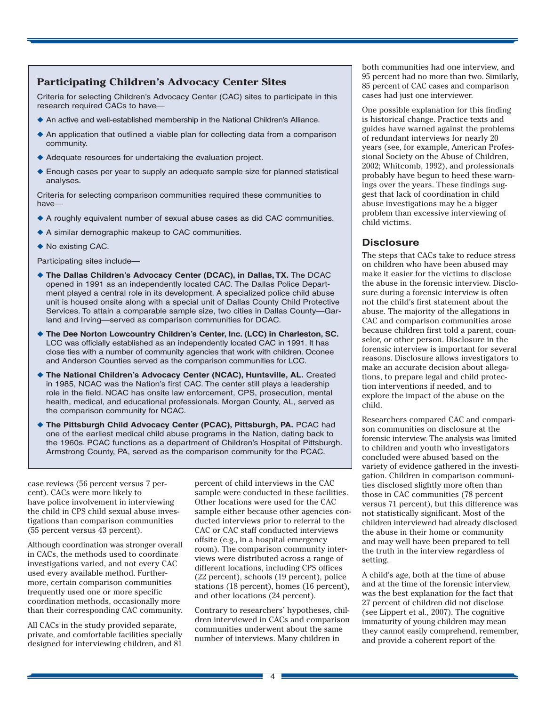#### **Participating Children's Advocacy Center Sites**

Criteria for selecting Children's Advocacy Center (CAC) sites to participate in this research required CACs to have—

- ◆ An active and well-established membership in the National Children's Alliance.
- ◆ An application that outlined a viable plan for collecting data from a comparison community.
- ◆ Adequate resources for undertaking the evaluation project.
- ◆ Enough cases per year to supply an adequate sample size for planned statistical analyses.

Criteria for selecting comparison communities required these communities to have—

- ◆ A roughly equivalent number of sexual abuse cases as did CAC communities.
- ◆ A similar demographic makeup to CAC communities.
- ◆ No existing CAC.

Participating sites include—

- ◆ **The Dallas Children's Advocacy Center (DCAC), in Dallas, TX.** The DCAC opened in 1991 as an independently located CAC. The Dallas Police Department played a central role in its development. A specialized police child abuse unit is housed onsite along with a special unit of Dallas County Child Protective Services. To attain a comparable sample size, two cities in Dallas County—Garland and Irving—served as comparison communities for DCAC.
- ◆ The Dee Norton Lowcountry Children's Center, Inc. (LCC) in Charleston, SC. LCC was officially established as an independently located CAC in 1991. It has close ties with a number of community agencies that work with children. Oconee and Anderson Counties served as the comparison communities for LCC.
- ◆ **The National Children's Advocacy Center (NCAC), Huntsville, AL.** Created in 1985, NCAC was the Nation's first CAC. The center still plays a leadership role in the field. NCAC has onsite law enforcement, CPS, prosecution, mental health, medical, and educational professionals. Morgan County, AL, served as the comparison community for NCAC.
- ◆ **The Pittsburgh Child Advocacy Center (PCAC), Pittsburgh, PA.** PCAC had one of the earliest medical child abuse programs in the Nation, dating back to the 1960s. PCAC functions as a department of Children's Hospital of Pittsburgh. Armstrong County, PA, served as the comparison community for the PCAC.

case reviews (56 percent versus 7 percent). CACs were more likely to have police involvement in interviewing the child in CPS child sexual abuse investigations than comparison communities (55 percent versus 43 percent).

Although coordination was stronger overall in CACs, the methods used to coordinate investigations varied, and not every CAC used every available method. Furthermore, certain comparison communities frequently used one or more specific coordination methods, occasionally more than their corresponding CAC community.

All CACs in the study provided separate, private, and comfortable facilities specially designed for interviewing children, and 81

percent of child interviews in the CAC sample were conducted in these facilities. Other locations were used for the CAC sample either because other agencies conducted interviews prior to referral to the CAC or CAC staff conducted interviews offsite (e.g., in a hospital emergency room). The comparison community interviews were distributed across a range of different locations, including CPS offices (22 percent), schools (19 percent), police stations (18 percent), homes (16 percent), and other locations (24 percent).

Contrary to researchers' hypotheses, children interviewed in CACs and comparison communities underwent about the same number of interviews. Many children in

both communities had one interview, and 95 percent had no more than two. Similarly, 85 percent of CAC cases and comparison cases had just one interviewer.

One possible explanation for this finding is historical change. Practice texts and guides have warned against the problems of redundant interviews for nearly 20 years (see, for example, American Professional Society on the Abuse of Children, 2002; Whitcomb, 1992), and professionals probably have begun to heed these warnings over the years. These findings suggest that lack of coordination in child abuse investigations may be a bigger problem than excessive interviewing of child victims.

#### **Disclosure**

The steps that CACs take to reduce stress on children who have been abused may make it easier for the victims to disclose the abuse in the forensic interview. Disclosure during a forensic interview is often not the child's first statement about the abuse. The majority of the allegations in CAC and comparison communities arose because children first told a parent, counselor, or other person. Disclosure in the forensic interview is important for several reasons. Disclosure allows investigators to make an accurate decision about allegations, to prepare legal and child protection interventions if needed, and to explore the impact of the abuse on the child.

Researchers compared CAC and comparison communities on disclosure at the forensic interview. The analysis was limited to children and youth who investigators concluded were abused based on the variety of evidence gathered in the investigation. Children in comparison communities disclosed slightly more often than those in CAC communities (78 percent versus 71 percent), but this difference was not statistically significant. Most of the children interviewed had already disclosed the abuse in their home or community and may well have been prepared to tell the truth in the interview regardless of setting.

A child's age, both at the time of abuse and at the time of the forensic interview, was the best explanation for the fact that 27 percent of children did not disclose (see Lippert et al., 2007). The cognitive immaturity of young children may mean they cannot easily comprehend, remember, and provide a coherent report of the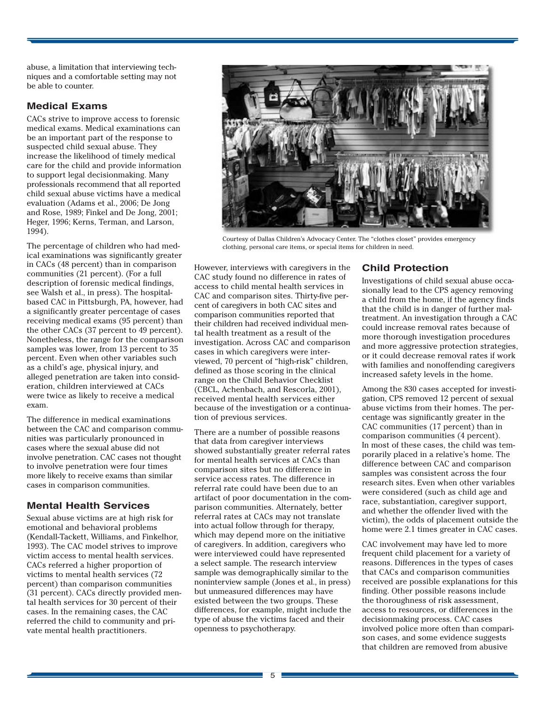abuse, a limitation that interviewing techniques and a comfortable setting may not be able to counter.

#### **Medical Exams**

CACs strive to improve access to forensic medical exams. Medical examinations can be an important part of the response to suspected child sexual abuse. They increase the likelihood of timely medical care for the child and provide information to support legal decisionmaking. Many professionals recommend that all reported child sexual abuse victims have a medical evaluation (Adams et al., 2006; De Jong and Rose, 1989; Finkel and De Jong, 2001; Heger, 1996; Kerns, Terman, and Larson, 1994).

The percentage of children who had medical examinations was significantly greater in CACs (48 percent) than in comparison communities (21 percent). (For a full description of forensic medical findings, see Walsh et al., in press). The hospitalbased CAC in Pittsburgh, PA, however, had a significantly greater percentage of cases receiving medical exams (95 percent) than the other CACs (37 percent to 49 percent). Nonetheless, the range for the comparison samples was lower, from 13 percent to 35 percent. Even when other variables such as a child's age, physical injury, and alleged penetration are taken into consideration, children interviewed at CACs were twice as likely to receive a medical exam.

The difference in medical examinations between the CAC and comparison communities was particularly pronounced in cases where the sexual abuse did not involve penetration. CAC cases not thought to involve penetration were four times more likely to receive exams than similar cases in comparison communities.

#### **Mental Health Services**

Sexual abuse victims are at high risk for emotional and behavioral problems (Kendall-Tackett, Williams, and Finkelhor, 1993). The CAC model strives to improve victim access to mental health services. CACs referred a higher proportion of victims to mental health services (72 percent) than comparison communities (31 percent). CACs directly provided mental health services for 30 percent of their cases. In the remaining cases, the CAC referred the child to community and private mental health practitioners.



Courtesy of Dallas Children's Advocacy Center. The "clothes closet" provides emergency clothing, personal care items, or special items for children in need.

However, interviews with caregivers in the CAC study found no difference in rates of access to child mental health services in CAC and comparison sites. Thirty-five percent of caregivers in both CAC sites and comparison communities reported that their children had received individual mental health treatment as a result of the investigation. Across CAC and comparison cases in which caregivers were interviewed, 70 percent of "high-risk" children, defined as those scoring in the clinical range on the Child Behavior Checklist (CBCL, Achenbach, and Rescorla, 2001), received mental health services either because of the investigation or a continuation of previous services.

There are a number of possible reasons that data from caregiver interviews showed substantially greater referral rates for mental health services at CACs than comparison sites but no difference in service access rates. The difference in referral rate could have been due to an artifact of poor documentation in the comparison communities. Alternately, better referral rates at CACs may not translate into actual follow through for therapy, which may depend more on the initiative of caregivers. In addition, caregivers who were interviewed could have represented a select sample. The research interview sample was demographically similar to the noninterview sample (Jones et al., in press) but unmeasured differences may have existed between the two groups. These differences, for example, might include the type of abuse the victims faced and their openness to psychotherapy.

#### **Child Protection**

Investigations of child sexual abuse occasionally lead to the CPS agency removing a child from the home, if the agency finds that the child is in danger of further maltreatment. An investigation through a CAC could increase removal rates because of more thorough investigation procedures and more aggressive protection strategies, or it could decrease removal rates if work with families and nonoffending caregivers increased safety levels in the home.

Among the 830 cases accepted for investigation, CPS removed 12 percent of sexual abuse victims from their homes. The percentage was significantly greater in the CAC communities (17 percent) than in comparison communities (4 percent). In most of these cases, the child was temporarily placed in a relative's home. The difference between CAC and comparison samples was consistent across the four research sites. Even when other variables were considered (such as child age and race, substantiation, caregiver support, and whether the offender lived with the victim), the odds of placement outside the home were 2.1 times greater in CAC cases.

CAC involvement may have led to more frequent child placement for a variety of reasons. Differences in the types of cases that CACs and comparison communities received are possible explanations for this finding. Other possible reasons include the thoroughness of risk assessment, access to resources, or differences in the decisionmaking process. CAC cases involved police more often than comparison cases, and some evidence suggests that children are removed from abusive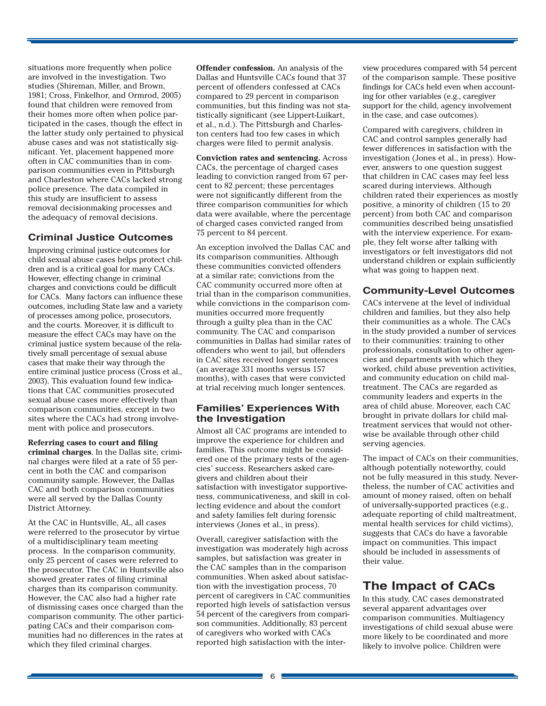situations more frequently when police are involved in the investigation. Two studies (Shireman, Miller, and Brown, 1981; Cross, Finkelhor, and Ormrod, 2005) found that children were removed from their homes more often when police participated in the cases, though the effect in the latter study only pertained to physical abuse cases and was not statistically significant. Yet, placement happened more often in CAC communities than in comparison communities even in Pittsburgh and Charleston where CACs lacked strong police presence. The data compiled in this study are insufficient to assess removal decisionmaking processes and the adequacy of removal decisions.

#### **Criminal Justice Outcomes**

Improving criminal justice outcomes for child sexual abuse cases helps protect children and is a critical goal for many CACs. However, effecting change in criminal charges and convictions could be difficult for CACs. Many factors can influence these outcomes, including State law and a variety of processes among police, prosecutors, and the courts. Moreover, it is difficult to measure the effect CACs may have on the criminal justice system because of the relatively small percentage of sexual abuse cases that make their way through the entire criminal justice process (Cross et al., 2003). This evaluation found few indications that CAC communities prosecuted sexual abuse cases more effectively than comparison communities, except in two sites where the CACs had strong involvement with police and prosecutors.

#### **Referring cases to court and filing**

**criminal charges**. In the Dallas site, criminal charges were filed at a rate of 55 percent in both the CAC and comparison community sample. However, the Dallas CAC and both comparison communities were all served by the Dallas County District Attorney.

At the CAC in Huntsville, AL, all cases were referred to the prosecutor by virtue of a multidisciplinary team meeting process. In the comparison community, only 25 percent of cases were referred to the prosecutor. The CAC in Huntsville also showed greater rates of filing criminal charges than its comparison community. However, the CAC also had a higher rate of dismissing cases once charged than the comparison community. The other participating CACs and their comparison communities had no differences in the rates at which they filed criminal charges.

**Offender confession.** An analysis of the Dallas and Huntsville CACs found that 37 percent of offenders confessed at CACs compared to 29 percent in comparison communities, but this finding was not statistically significant (see Lippert-Luikart, et al., n.d.). The Pittsburgh and Charleston centers had too few cases in which charges were filed to permit analysis.

**Conviction rates and sentencing.** Across CACs, the percentage of charged cases leading to conviction ranged from 67 percent to 82 percent; these percentages were not significantly different from the three comparison communities for which data were available, where the percentage of charged cases convicted ranged from 75 percent to 84 percent.

An exception involved the Dallas CAC and its comparison communities. Although these communities convicted offenders at a similar rate; convictions from the CAC community occurred more often at trial than in the comparison communities, while convictions in the comparison communities occurred more frequently through a guilty plea than in the CAC community. The CAC and comparison communities in Dallas had similar rates of offenders who went to jail, but offenders in CAC sites received longer sentences (an average 331 months versus 157 months), with cases that were convicted at trial receiving much longer sentences.

#### **Families' Experiences With the Investigation**

Almost all CAC programs are intended to improve the experience for children and families. This outcome might be considered one of the primary tests of the agencies' success. Researchers asked caregivers and children about their satisfaction with investigator supportiveness, communicativeness, and skill in collecting evidence and about the comfort and safety families felt during forensic interviews (Jones et al., in press).

Overall, caregiver satisfaction with the investigation was moderately high across samples, but satisfaction was greater in the CAC samples than in the comparison communities. When asked about satisfaction with the investigation process, 70 percent of caregivers in CAC communities reported high levels of satisfaction versus 54 percent of the caregivers from comparison communities. Additionally, 83 percent of caregivers who worked with CACs reported high satisfaction with the inter-

view procedures compared with 54 percent of the comparison sample. These positive findings for CACs held even when accounting for other variables (e.g., caregiver support for the child, agency involvement in the case, and case outcomes).

Compared with caregivers, children in CAC and control samples generally had fewer differences in satisfaction with the investigation (Jones et al., in press). However, answers to one question suggest that children in CAC cases may feel less scared during interviews. Although children rated their experiences as mostly positive, a minority of children (15 to 20 percent) from both CAC and comparison communities described being unsatisfied with the interview experience. For example, they felt worse after talking with investigators or felt investigators did not understand children or explain sufficiently what was going to happen next.

#### **Community-Level Outcomes**

CACs intervene at the level of individual children and families, but they also help their communities as a whole. The CACs in the study provided a number of services to their communities: training to other professionals, consultation to other agencies and departments with which they worked, child abuse prevention activities, and community education on child maltreatment. The CACs are regarded as community leaders and experts in the area of child abuse. Moreover, each CAC brought in private dollars for child maltreatment services that would not otherwise be available through other child serving agencies.

The impact of CACs on their communities, although potentially noteworthy, could not be fully measured in this study. Nevertheless, the number of CAC activities and amount of money raised, often on behalf of universally-supported practices (e.g., adequate reporting of child maltreatment, mental health services for child victims), suggests that CACs do have a favorable impact on communities. This impact should be included in assessments of their value.

# **The Impact of CACs**

In this study, CAC cases demonstrated several apparent advantages over comparison communities. Multiagency investigations of child sexual abuse were more likely to be coordinated and more likely to involve police. Children were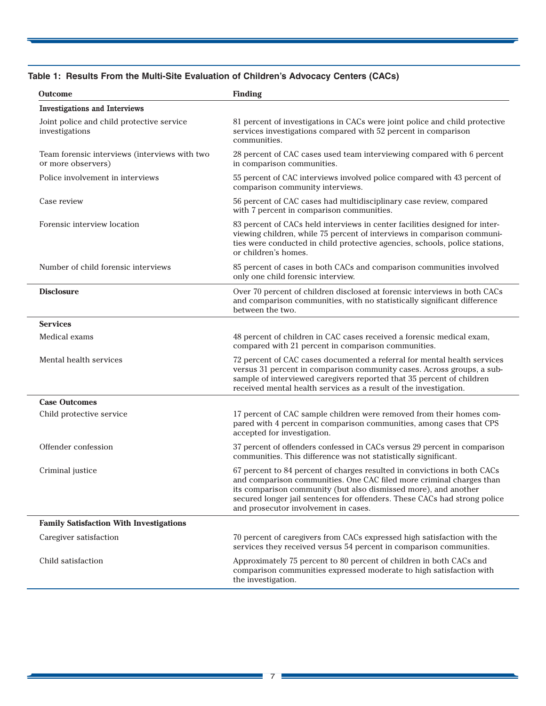|  |  |  |  |  | Table 1: Results From the Multi-Site Evaluation of Children's Advocacy Centers (CACs) |  |  |  |
|--|--|--|--|--|---------------------------------------------------------------------------------------|--|--|--|
|--|--|--|--|--|---------------------------------------------------------------------------------------|--|--|--|

| <b>Outcome</b>                                                      | <b>Finding</b>                                                                                                                                                                                                                                                                                                                           |  |  |  |
|---------------------------------------------------------------------|------------------------------------------------------------------------------------------------------------------------------------------------------------------------------------------------------------------------------------------------------------------------------------------------------------------------------------------|--|--|--|
| <b>Investigations and Interviews</b>                                |                                                                                                                                                                                                                                                                                                                                          |  |  |  |
| Joint police and child protective service<br>investigations         | 81 percent of investigations in CACs were joint police and child protective<br>services investigations compared with 52 percent in comparison<br>communities.                                                                                                                                                                            |  |  |  |
| Team forensic interviews (interviews with two<br>or more observers) | 28 percent of CAC cases used team interviewing compared with 6 percent<br>in comparison communities.                                                                                                                                                                                                                                     |  |  |  |
| Police involvement in interviews                                    | 55 percent of CAC interviews involved police compared with 43 percent of<br>comparison community interviews.                                                                                                                                                                                                                             |  |  |  |
| Case review                                                         | 56 percent of CAC cases had multidisciplinary case review, compared<br>with 7 percent in comparison communities.                                                                                                                                                                                                                         |  |  |  |
| Forensic interview location                                         | 83 percent of CACs held interviews in center facilities designed for inter-<br>viewing children, while 75 percent of interviews in comparison communi-<br>ties were conducted in child protective agencies, schools, police stations,<br>or children's homes.                                                                            |  |  |  |
| Number of child forensic interviews                                 | 85 percent of cases in both CACs and comparison communities involved<br>only one child forensic interview.                                                                                                                                                                                                                               |  |  |  |
| <b>Disclosure</b>                                                   | Over 70 percent of children disclosed at forensic interviews in both CACs<br>and comparison communities, with no statistically significant difference<br>between the two.                                                                                                                                                                |  |  |  |
| <b>Services</b>                                                     |                                                                                                                                                                                                                                                                                                                                          |  |  |  |
| Medical exams                                                       | 48 percent of children in CAC cases received a forensic medical exam,<br>compared with 21 percent in comparison communities.                                                                                                                                                                                                             |  |  |  |
| Mental health services                                              | 72 percent of CAC cases documented a referral for mental health services<br>versus 31 percent in comparison community cases. Across groups, a sub-<br>sample of interviewed caregivers reported that 35 percent of children<br>received mental health services as a result of the investigation.                                         |  |  |  |
| <b>Case Outcomes</b>                                                |                                                                                                                                                                                                                                                                                                                                          |  |  |  |
| Child protective service                                            | 17 percent of CAC sample children were removed from their homes com-<br>pared with 4 percent in comparison communities, among cases that CPS<br>accepted for investigation.                                                                                                                                                              |  |  |  |
| Offender confession                                                 | 37 percent of offenders confessed in CACs versus 29 percent in comparison<br>communities. This difference was not statistically significant.                                                                                                                                                                                             |  |  |  |
| Criminal justice                                                    | 67 percent to 84 percent of charges resulted in convictions in both CACs<br>and comparison communities. One CAC filed more criminal charges than<br>its comparison community (but also dismissed more), and another<br>secured longer jail sentences for offenders. These CACs had strong police<br>and prosecutor involvement in cases. |  |  |  |
| <b>Family Satisfaction With Investigations</b>                      |                                                                                                                                                                                                                                                                                                                                          |  |  |  |
| Caregiver satisfaction                                              | 70 percent of caregivers from CACs expressed high satisfaction with the<br>services they received versus 54 percent in comparison communities.                                                                                                                                                                                           |  |  |  |
| Child satisfaction                                                  | Approximately 75 percent to 80 percent of children in both CACs and<br>comparison communities expressed moderate to high satisfaction with<br>the investigation.                                                                                                                                                                         |  |  |  |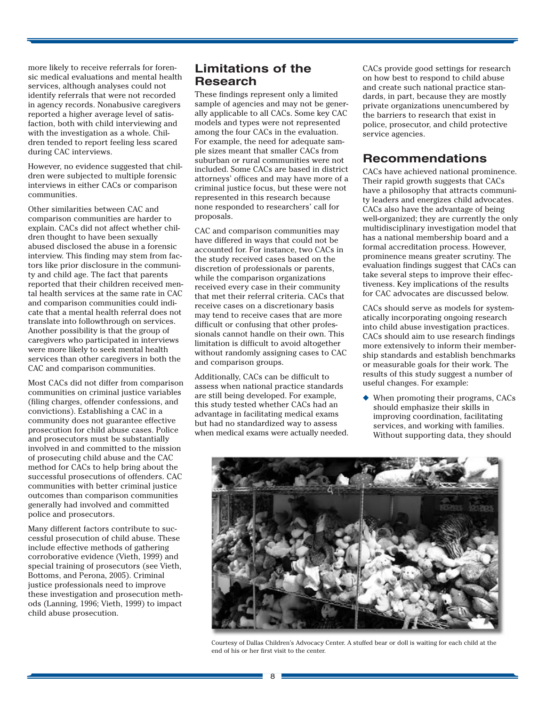more likely to receive referrals for forensic medical evaluations and mental health services, although analyses could not identify referrals that were not recorded in agency records. Nonabusive caregivers reported a higher average level of satisfaction, both with child interviewing and with the investigation as a whole. Children tended to report feeling less scared during CAC interviews.

However, no evidence suggested that children were subjected to multiple forensic interviews in either CACs or comparison communities.

Other similarities between CAC and comparison communities are harder to explain. CACs did not affect whether children thought to have been sexually abused disclosed the abuse in a forensic interview. This finding may stem from factors like prior disclosure in the community and child age. The fact that parents reported that their children received mental health services at the same rate in CAC and comparison communities could indicate that a mental health referral does not translate into followthrough on services. Another possibility is that the group of caregivers who participated in interviews were more likely to seek mental health services than other caregivers in both the CAC and comparison communities.

Most CACs did not differ from comparison communities on criminal justice variables (filing charges, offender confessions, and convictions). Establishing a CAC in a community does not guarantee effective prosecution for child abuse cases. Police and prosecutors must be substantially involved in and committed to the mission of prosecuting child abuse and the CAC method for CACs to help bring about the successful prosecutions of offenders. CAC communities with better criminal justice outcomes than comparison communities generally had involved and committed police and prosecutors.

Many different factors contribute to successful prosecution of child abuse. These include effective methods of gathering corroborative evidence (Vieth, 1999) and special training of prosecutors (see Vieth, Bottoms, and Perona, 2005). Criminal justice professionals need to improve these investigation and prosecution methods (Lanning, 1996; Vieth, 1999) to impact child abuse prosecution.

## **Limitations of the Research**

These findings represent only a limited sample of agencies and may not be generally applicable to all CACs. Some key CAC models and types were not represented among the four CACs in the evaluation. For example, the need for adequate sample sizes meant that smaller CACs from suburban or rural communities were not included. Some CACs are based in district attorneys' offices and may have more of a criminal justice focus, but these were not represented in this research because none responded to researchers' call for proposals.

CAC and comparison communities may have differed in ways that could not be accounted for. For instance, two CACs in the study received cases based on the discretion of professionals or parents, while the comparison organizations received every case in their community that met their referral criteria. CACs that receive cases on a discretionary basis may tend to receive cases that are more difficult or confusing that other professionals cannot handle on their own. This limitation is difficult to avoid altogether without randomly assigning cases to CAC and comparison groups.

Additionally, CACs can be difficult to assess when national practice standards are still being developed. For example, this study tested whether CACs had an advantage in facilitating medical exams but had no standardized way to assess when medical exams were actually needed.

CACs provide good settings for research on how best to respond to child abuse and create such national practice standards, in part, because they are mostly private organizations unencumbered by the barriers to research that exist in police, prosecutor, and child protective service agencies.

## **Recommendations**

CACs have achieved national prominence. Their rapid growth suggests that CACs have a philosophy that attracts community leaders and energizes child advocates. CACs also have the advantage of being well-organized; they are currently the only multidisciplinary investigation model that has a national membership board and a formal accreditation process. However, prominence means greater scrutiny. The evaluation findings suggest that CACs can take several steps to improve their effectiveness. Key implications of the results for CAC advocates are discussed below.

CACs should serve as models for systematically incorporating ongoing research into child abuse investigation practices. CACs should aim to use research findings more extensively to inform their membership standards and establish benchmarks or measurable goals for their work. The results of this study suggest a number of useful changes. For example:

◆ When promoting their programs, CACs should emphasize their skills in improving coordination, facilitating services, and working with families. Without supporting data, they should



Courtesy of Dallas Children's Advocacy Center. A stuffed bear or doll is waiting for each child at the end of his or her first visit to the center.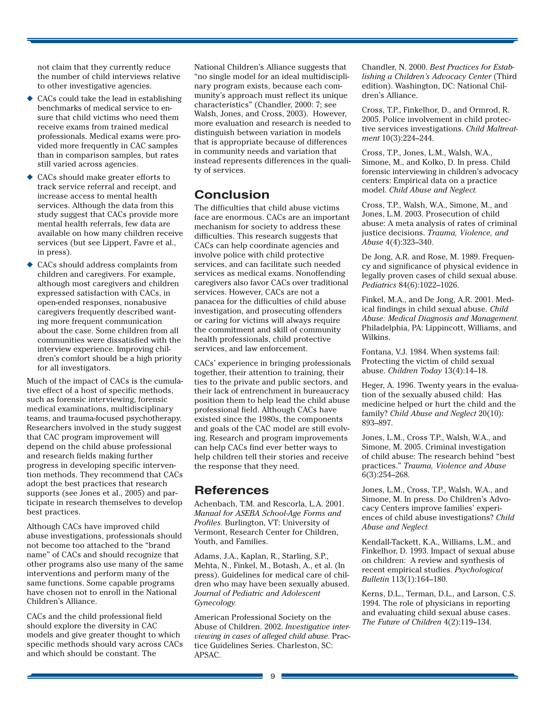not claim that they currently reduce the number of child interviews relative to other investigative agencies.

- $\triangleleft$  CACs could take the lead in establishing benchmarks of medical service to ensure that child victims who need them receive exams from trained medical professionals. Medical exams were provided more frequently in CAC samples than in comparison samples, but rates still varied across agencies.
- CACs should make greater efforts to track service referral and receipt, and increase access to mental health services. Although the data from this study suggest that CACs provide more mental health referrals, few data are available on how many children receive services (but see Lippert, Favre et al., in press).
- ◆ CACs should address complaints from children and caregivers. For example, although most caregivers and children expressed satisfaction with CACs, in open-ended responses, nonabusive caregivers frequently described wanting more frequent communication about the case. Some children from all communities were dissatisfied with the interview experience. Improving children's comfort should be a high priority for all investigators.

Much of the impact of CACs is the cumulative effect of a host of specific methods, such as forensic interviewing, forensic medical examinations, multidisciplinary teams, and trauma-focused psychotherapy. Researchers involved in the study suggest that CAC program improvement will depend on the child abuse professional and research fields making further progress in developing specific intervention methods. They recommend that CACs adopt the best practices that research supports (see Jones et al., 2005) and participate in research themselves to develop best practices.

Although CACs have improved child abuse investigations, professionals should not become too attached to the "brand name" of CACs and should recognize that other programs also use many of the same interventions and perform many of the same functions. Some capable programs have chosen not to enroll in the National Children's Alliance.

CACs and the child professional field should explore the diversity in CAC models and give greater thought to which specific methods should vary across CACs and which should be constant. The

National Children's Alliance suggests that "no single model for an ideal multidisciplinary program exists, because each community's approach must reflect its unique characteristics" (Chandler, 2000: 7; see Walsh, Jones, and Cross, 2003). However, more evaluation and research is needed to distinguish between variation in models that is appropriate because of differences in community needs and variation that instead represents differences in the quality of services.

# **Conclusion**

The difficulties that child abuse victims face are enormous. CACs are an important mechanism for society to address these difficulties. This research suggests that CACs can help coordinate agencies and involve police with child protective services, and can facilitate such needed services as medical exams. Nonoffending caregivers also favor CACs over traditional services. However, CACs are not a panacea for the difficulties of child abuse investigation, and prosecuting offenders or caring for victims will always require the commitment and skill of community health professionals, child protective services, and law enforcement.

CACs' experience in bringing professionals together, their attention to training, their ties to the private and public sectors, and their lack of entrenchment in bureaucracy position them to help lead the child abuse professional field. Although CACs have existed since the 1980s, the components and goals of the CAC model are still evolving. Research and program improvements can help CACs find ever better ways to help children tell their stories and receive the response that they need.

## **References**

Achenbach, T.M. and Rescorla, L.A. 2001. *Manual for ASEBA School-Age Forms and Profiles.* Burlington, VT: University of Vermont, Research Center for Children, Youth, and Families.

Adams, J.A., Kaplan, R., Starling, S.P., Mehta, N., Finkel, M., Botash, A., et al. (In press). Guidelines for medical care of children who may have been sexually abused. *Journal of Pediatric and Adolescent Gynecology.* 

American Professional Society on the Abuse of Children. 2002. *Investigative interviewing in cases of alleged child abuse.* Practice Guidelines Series. Charleston, SC: APSAC.

Chandler, N. 2000. *Best Practices for Establishing a Children's Advocacy Center* (Third edition). Washington, DC: National Children's Alliance.

Cross, T.P., Finkelhor, D., and Ormrod, R. 2005. Police involvement in child protective services investigations. *Child Maltreatment* 10(3):224–244.

Cross, T.P., Jones, L.M., Walsh, W.A., Simone, M., and Kolko, D. In press. Child forensic interviewing in children's advocacy centers: Empirical data on a practice model. *Child Abuse and Neglect.* 

Cross, T.P., Walsh, W.A., Simone, M., and Jones, L.M. 2003. Prosecution of child abuse: A meta analysis of rates of criminal justice decisions. *Trauma, Violence, and Abuse* 4(4):323–340.

De Jong, A.R. and Rose, M. 1989. Frequency and significance of physical evidence in legally proven cases of child sexual abuse. *Pediatrics* 84(6):1022–1026.

Finkel, M.A., and De Jong, A.R. 2001. Medical findings in child sexual abuse. *Child Abuse: Medical Diagnosis and Management.*  Philadelphia, PA: Lippincott, Williams, and Wilkins.

Fontana, V.J. 1984. When systems fail: Protecting the victim of child sexual abuse. *Children Today* 13(4):14–18.

Heger, A. 1996. Twenty years in the evaluation of the sexually abused child: Has medicine helped or hurt the child and the family? *Child Abuse and Neglect* 20(10): 893–897.

Jones, L.M., Cross T.P., Walsh, W.A., and Simone, M. 2005. Criminal investigation of child abuse: The research behind "best practices." *Trauma, Violence and Abuse*  6(3):254–268.

Jones, L.M., Cross, T.P., Walsh, W.A., and Simone, M. In press. Do Children's Advocacy Centers improve families' experiences of child abuse investigations? *Child Abuse and Neglect.* 

Kendall-Tackett, K.A., Williams, L.M., and Finkelhor, D. 1993. Impact of sexual abuse on children: A review and synthesis of recent empirical studies. *Psychological Bulletin* 113(1):164–180.

Kerns, D.L., Terman, D.L., and Larson, C.S. 1994. The role of physicians in reporting and evaluating child sexual abuse cases. *The Future of Children* 4(2):119–134.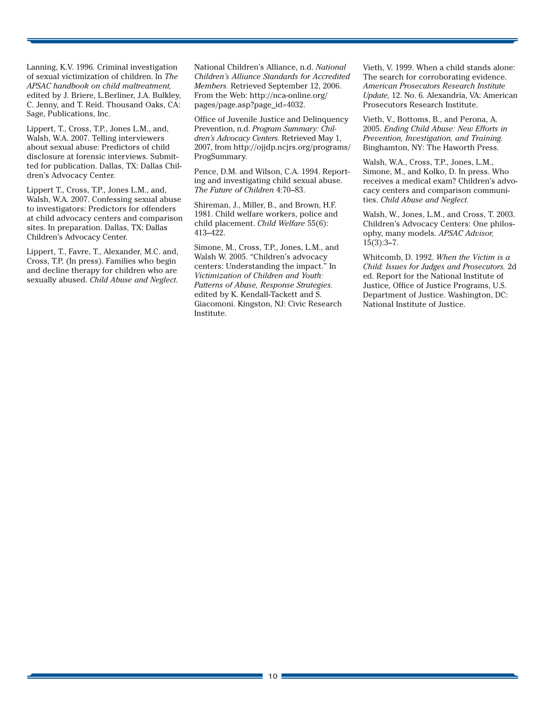Lanning, K.V. 1996. Criminal investigation of sexual victimization of children. In *The APSAC handbook on child maltreatment,*  edited by J. Briere, L.Berliner, J.A. Bulkley, C. Jenny, and T. Reid. Thousand Oaks, CA: Sage, Publications, Inc.

Lippert, T., Cross, T.P., Jones L.M., and, Walsh, W.A. 2007. Telling interviewers about sexual abuse: Predictors of child disclosure at forensic interviews. Submitted for publication. Dallas, TX: Dallas Children's Advocacy Center.

Lippert T., Cross, T.P., Jones L.M., and, Walsh, W.A. 2007. Confessing sexual abuse to investigators: Predictors for offenders at child advocacy centers and comparison sites. In preparation. Dallas, TX: Dallas Children's Advocacy Center.

Lippert, T., Favre, T., Alexander, M.C. and, Cross, T.P. (In press). Families who begin and decline therapy for children who are sexually abused. *Child Abuse and Neglect*.

National Children's Alliance, n.d. *National Children's Alliance Standards for Accredited Members.* Retrieved September 12, 2006. From the Web: http://nca-online.org/ pages/page.asp?page\_id=4032.

Office of Juvenile Justice and Delinquency Prevention, n.d. *Program Summary: Children's Advocacy Centers.* Retrieved May 1, 2007, from http://ojjdp.ncjrs.org/programs/ ProgSummary.

Pence, D.M. and Wilson, C.A. 1994. Reporting and investigating child sexual abuse. *The Future of Children* 4:70–83.

Shireman, J., Miller, B., and Brown, H.F. 1981. Child welfare workers, police and child placement. *Child Welfare* 55(6): 413–422.

Simone, M., Cross, T.P., Jones, L.M., and Walsh W. 2005. "Children's advocacy centers: Understanding the impact." In *Victimization of Children and Youth: Patterns of Abuse, Response Strategies.*  edited by K. Kendall-Tackett and S. Giacomoni. Kingston, NJ: Civic Research Institute.

Vieth, V. 1999. When a child stands alone: The search for corroborating evidence. *American Prosecutors Research Institute Update,* 12. No. 6. Alexandria, VA: American Prosecutors Research Institute.

Vieth, V., Bottoms, B., and Perona, A. 2005. *Ending Child Abuse: New Efforts in Prevention, Investigation, and Training.*  Binghamton, NY: The Haworth Press.

Walsh, W.A., Cross, T.P., Jones, L.M., Simone, M., and Kolko, D. In press. Who receives a medical exam? Children's advocacy centers and comparison communities. *Child Abuse and Neglect.* 

Walsh, W., Jones, L.M., and Cross, T. 2003. Children's Advocacy Centers: One philosophy, many models. *APSAC Advisor,*   $15(3):3-7.$ 

Whitcomb, D. 1992. *When the Victim is a Child: Issues for Judges and Prosecutors.* 2d ed. Report for the National Institute of Justice, Office of Justice Programs, U.S. Department of Justice. Washington, DC: National Institute of Justice.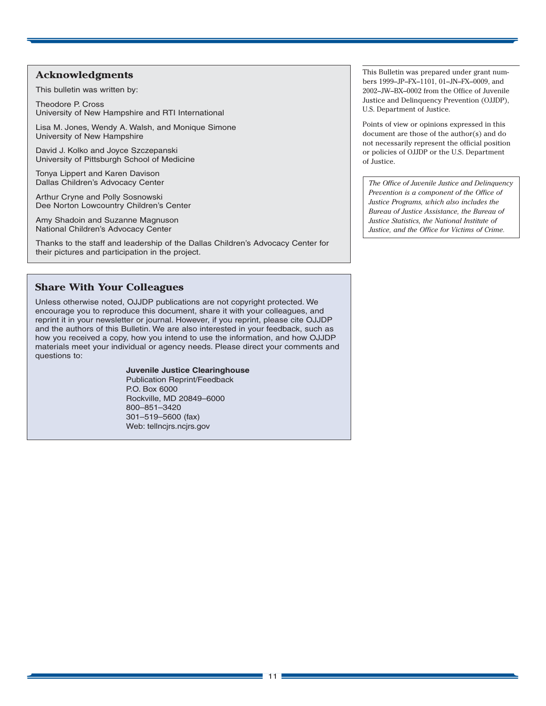#### **Acknowledgments**

This bulletin was written by:

Theodore P. Cross University of New Hampshire and RTI International

Lisa M. Jones, Wendy A. Walsh, and Monique Simone University of New Hampshire

David J. Kolko and Joyce Szczepanski University of Pittsburgh School of Medicine

Tonya Lippert and Karen Davison Dallas Children's Advocacy Center

Arthur Cryne and Polly Sosnowski Dee Norton Lowcountry Children's Center

Amy Shadoin and Suzanne Magnuson National Children's Advocacy Center

Thanks to the staff and leadership of the Dallas Children's Advocacy Center for their pictures and participation in the project.

#### **Share With Your Colleagues**

Unless otherwise noted, OJJDP publications are not copyright protected. We encourage you to reproduce this document, share it with your colleagues, and reprint it in your newsletter or journal. However, if you reprint, please cite OJJDP and the authors of this Bulletin. We are also interested in your feedback, such as how you received a copy, how you intend to use the information, and how OJJDP materials meet your individual or agency needs. Please direct your comments and questions to:

#### **Juvenile Justice Clearinghouse**

Publication Reprint/Feedback P.O. Box 6000 Rockville, MD 20849–6000 800–851–3420 301–519–5600 (fax) Web: tellncjrs.ncjrs.gov

This Bulletin was prepared under grant numbers 1999–JP–FX–1101, 01–JN–FX–0009, and 2002–JW–BX–0002 from the Office of Juvenile Justice and Delinquency Prevention (OJJDP), U.S. Department of Justice.

Points of view or opinions expressed in this document are those of the author(s) and do not necessarily represent the official position or policies of OJJDP or the U.S. Department of Justice.

*The Office of Juvenile Justice and Delinquency Prevention is a component of the Office of Justice Programs, which also includes the Bureau of Justice Assistance, the Bureau of Justice Statistics, the National Institute of Justice, and the Office for Victims of Crime.*